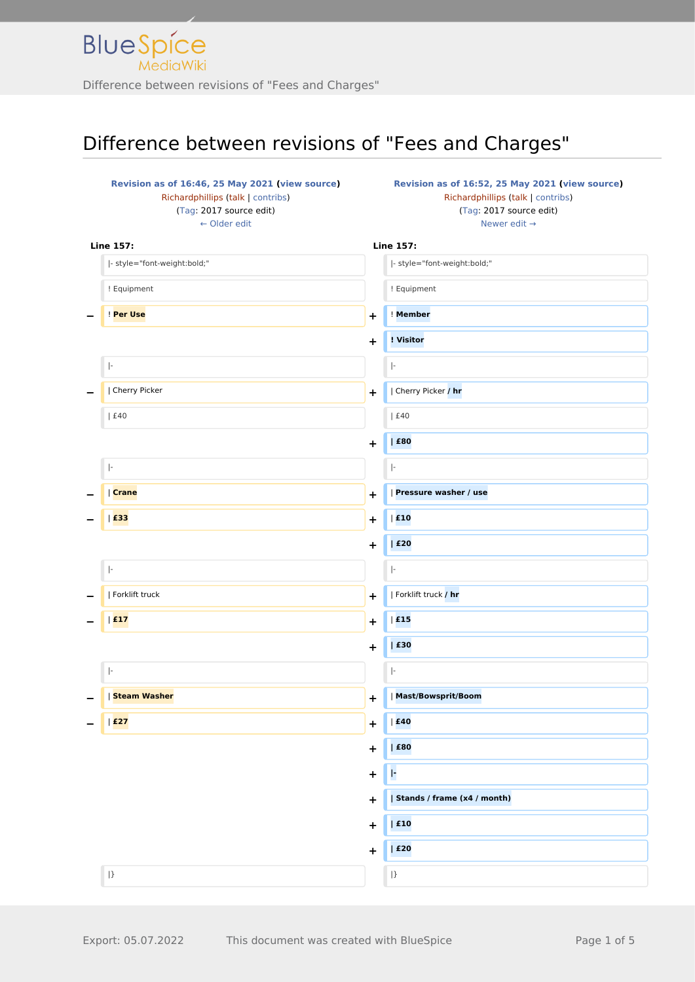| Revision as of 16:46, 25 May 2021 (view source)<br>Richardphillips (talk   contribs) |            | Revision as of 16:52, 25 May 2021 (view source)<br>Richardphillips (talk   contribs) |  |
|--------------------------------------------------------------------------------------|------------|--------------------------------------------------------------------------------------|--|
| (Tag: 2017 source edit)                                                              |            | (Tag: 2017 source edit)                                                              |  |
| $\leftarrow$ Older edit                                                              |            | Newer edit $\rightarrow$                                                             |  |
|                                                                                      |            |                                                                                      |  |
| <b>Line 157:</b>                                                                     |            | <b>Line 157:</b>                                                                     |  |
| - style="font-weight:bold;"                                                          |            | - style="font-weight:bold;"                                                          |  |
| ! Equipment                                                                          |            | ! Equipment                                                                          |  |
| Per Use                                                                              | $\ddot{}$  | ! Member                                                                             |  |
|                                                                                      | $\ddagger$ | ! Visitor                                                                            |  |
| $\vert \cdot$                                                                        |            | $\left\vert \cdot\right\vert$                                                        |  |
| Cherry Picker                                                                        | $\ddot{}$  | Cherry Picker / hr                                                                   |  |
| £40                                                                                  |            | £40                                                                                  |  |
|                                                                                      | $\ddot{}$  | $ $ £80                                                                              |  |
| $\left\vert \cdot\right\rangle$                                                      |            | ŀ                                                                                    |  |
| Crane                                                                                | $\ddot{}$  | <b>Pressure washer / use</b>                                                         |  |
| $ $ £33                                                                              | +          | $ $ £10                                                                              |  |
|                                                                                      | $\ddot{}$  | $ $ £20                                                                              |  |
| $\left\vert \cdot\right\rangle$                                                      |            | $\left\vert \cdot\right\rangle$                                                      |  |
| Forklift truck                                                                       | $\ddot{}$  | Forklift truck / hr                                                                  |  |
| E17                                                                                  | $\ddot{}$  | E15                                                                                  |  |
|                                                                                      | $\ddot{}$  | £30                                                                                  |  |
| ŀ.                                                                                   |            | ŀ                                                                                    |  |
| <b>Steam Washer</b>                                                                  | $\ddot{}$  | <b>Mast/Bowsprit/Boom</b>                                                            |  |
| E27                                                                                  | $\ddot{}$  | E40                                                                                  |  |
|                                                                                      | $\ddot{}$  | $ $ £80                                                                              |  |
|                                                                                      | ٠          | ŀ                                                                                    |  |
|                                                                                      | $\ddot{}$  | Stands / frame (x4 / month)                                                          |  |
|                                                                                      | $\ddot{}$  | $ $ £10                                                                              |  |
|                                                                                      | $\ddot{}$  | E20                                                                                  |  |
| $ \}$                                                                                |            | $\vert$ }                                                                            |  |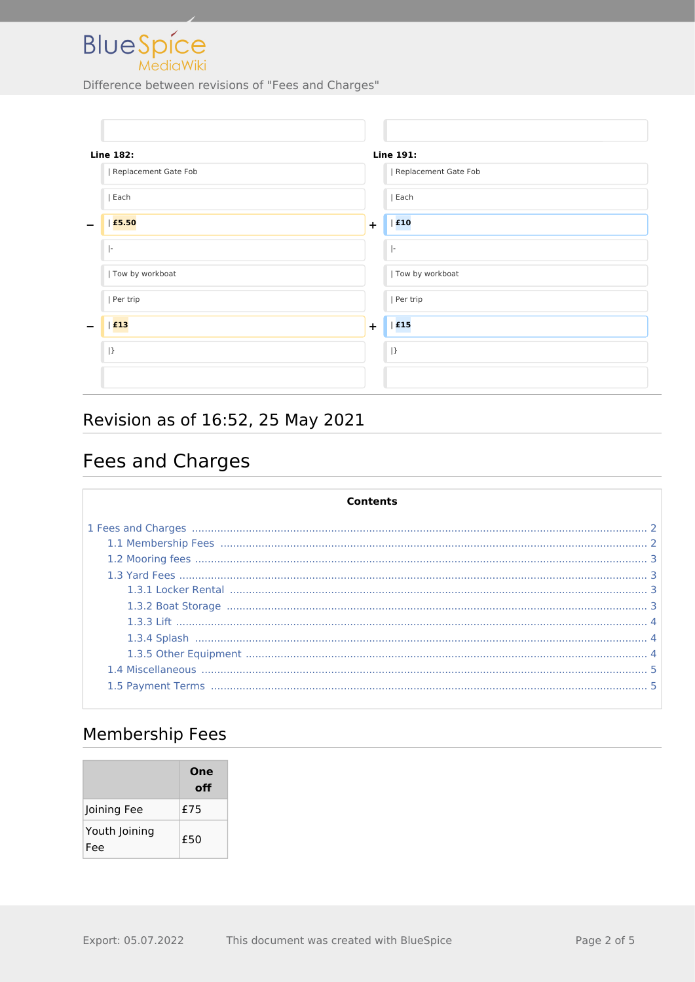

| <b>Line 182:</b>     | Line 191:                       |
|----------------------|---------------------------------|
| Replacement Gate Fob | Replacement Gate Fob            |
| Each                 | Each                            |
| £5.50<br>-           | E10<br>$\ddot{}$                |
| $\vert$ -            | $\left\vert \cdot\right\rangle$ |
| Tow by workboat      | Tow by workboat                 |
| Per trip             | Per trip                        |
| $ $ £13              | E15<br>$\ddot{}$                |
| $ }$                 | $\vert \}$                      |
|                      |                                 |

# Revision as of 16:52, 25 May 2021

# <span id="page-1-0"></span>Fees and Charges

| Contents |  |
|----------|--|
|          |  |
|          |  |
|          |  |
|          |  |
|          |  |
|          |  |
|          |  |
|          |  |
|          |  |
|          |  |
|          |  |

## <span id="page-1-1"></span>**Membership Fees**

|                      | One<br>off |
|----------------------|------------|
| Joining Fee          | £75        |
| Youth Joining<br>Fee | £50        |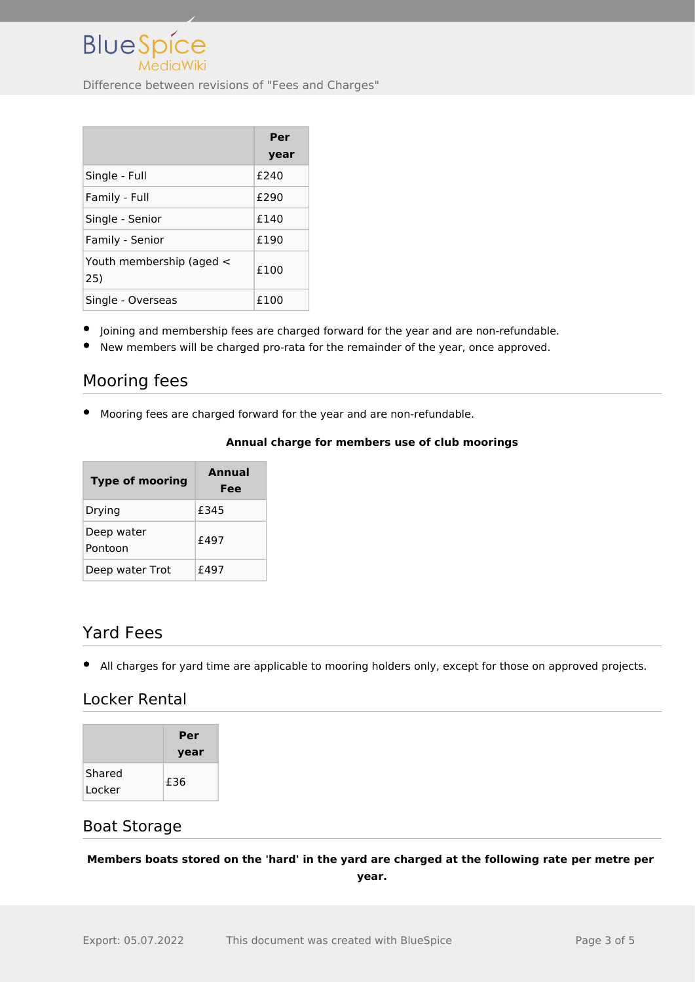|                                 | Per  |
|---------------------------------|------|
|                                 | year |
| Single - Full                   | £240 |
| Family - Full                   | £290 |
| Single - Senior                 | f140 |
| Family - Senior                 | £190 |
| Youth membership (aged <<br>25) | £100 |
| Single - Overseas               | £100 |

- Joining and membership fees are charged forward for the year and are non-refundable.
- New members will be charged pro-rata for the remainder of the year, once approved.

### <span id="page-2-0"></span>Mooring fees

Mooring fees are charged forward for the year and are non-refundable.

#### **Annual charge for members use of club moorings**

| <b>Type of mooring</b> | <b>Annual</b><br>Fee |
|------------------------|----------------------|
| Drying                 | £345                 |
| Deep water<br>Pontoon  | f497                 |
| Deep water Trot        | f497                 |

#### <span id="page-2-1"></span>Yard Fees

All charges for yard time are applicable to mooring holders only, except for those on approved projects.

#### <span id="page-2-2"></span>Locker Rental

|                  | Per<br>year |
|------------------|-------------|
| Shared<br>Locker | £36         |

#### <span id="page-2-3"></span>Boat Storage

**Members boats stored on the 'hard' in the yard are charged at the following rate per metre per year.**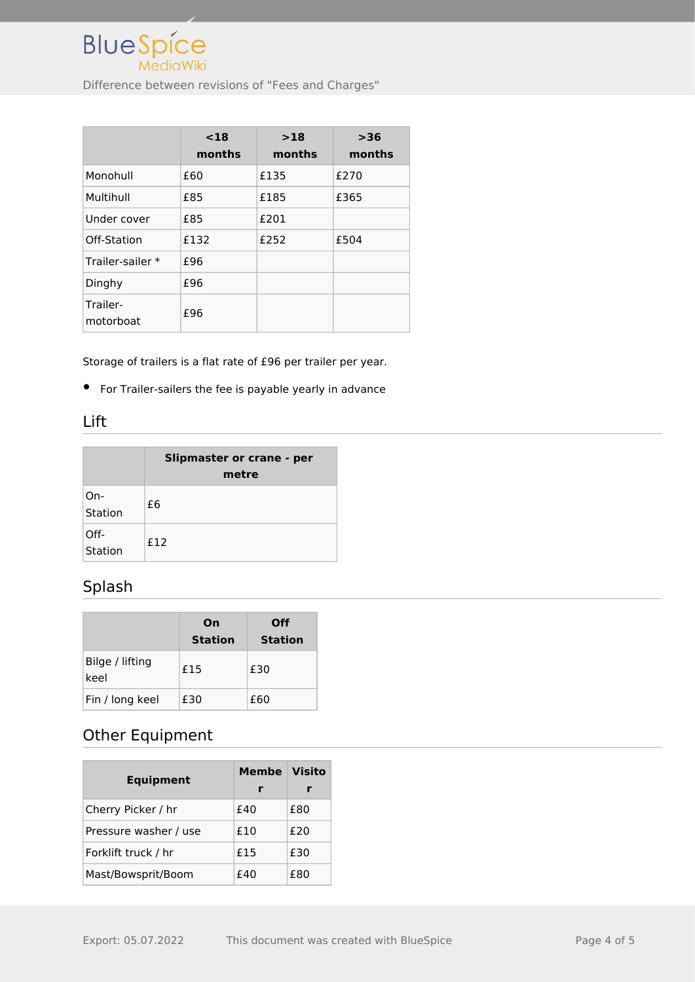

|                       | $18$<br>months | >18<br>months | >36<br>months |
|-----------------------|----------------|---------------|---------------|
| Monohull              | £60            | £135          | £270          |
| Multihull             | £85            | £185          | £365          |
| Under cover           | £85            | £201          |               |
| Off-Station           | £132           | £252          | £504          |
| Trailer-sailer *      | £96            |               |               |
| Dinghy                | £96            |               |               |
| Trailer-<br>motorboat | £96            |               |               |

Storage of trailers is a flat rate of £96 per trailer per year.

For Trailer-sailers the fee is payable yearly in advance

#### <span id="page-3-0"></span>Lift

|                 | Slipmaster or crane - per<br>metre |  |  |
|-----------------|------------------------------------|--|--|
| On-<br>Station  | £6                                 |  |  |
| Off-<br>Station | f12                                |  |  |

## <span id="page-3-1"></span>Splash

|                         | On<br><b>Station</b> | Off<br><b>Station</b> |
|-------------------------|----------------------|-----------------------|
| Bilge / lifting<br>keel | £15                  | £30                   |
| Fin / long keel         | £30                  | £60                   |

### <span id="page-3-2"></span>Other Equipment

| <b>Equipment</b>      | <b>Membe</b><br>r | <b>Visito</b> |
|-----------------------|-------------------|---------------|
| Cherry Picker / hr    | f40               | £80           |
| Pressure washer / use | £10               | £20           |
| Forklift truck / hr   | £15               | £30           |
| Mast/Bowsprit/Boom    | f40               | £80           |